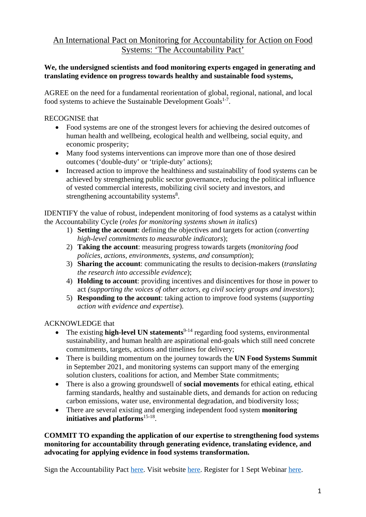# An International Pact on Monitoring for Accountability for Action on Food Systems: 'The Accountability Pact'

## **We, the undersigned scientists and food monitoring experts engaged in generating and translating evidence on progress towards healthy and sustainable food systems,**

AGREE on the need for a fundamental reorientation of global, regional, national, and local food systems to achieve the Sustainable Development Goals<sup>1-7</sup>.

RECOGNISE that

- Food systems are one of the strongest levers for achieving the desired outcomes of human health and wellbeing, ecological health and wellbeing, social equity, and economic prosperity;
- Many food systems interventions can improve more than one of those desired outcomes ('double-duty' or 'triple-duty' actions);
- Increased action to improve the healthiness and sustainability of food systems can be achieved by strengthening public sector governance, reducing the political influence of vested commercial interests, mobilizing civil society and investors, and strengthening accountability systems<sup>8</sup>.

IDENTIFY the value of robust, independent monitoring of food systems as a catalyst within the Accountability Cycle (*roles for monitoring systems shown in italics*)

- 1) **Setting the account**: defining the objectives and targets for action (*converting high-level commitments to measurable indicators*);
- 2) **Taking the account**: measuring progress towards targets (*monitoring food policies, actions, environments, systems, and consumption*);
- 3) **Sharing the account**: communicating the results to decision-makers (*translating the research into accessible evidence*);
- 4) **Holding to account**: providing incentives and disincentives for those in power to act *(supporting the voices of other actors, eg civil society groups and investors*);
- 5) **Responding to the account**: taking action to improve food systems (*supporting action with evidence and expertise*).

ACKNOWLEDGE that

- The existing **high-level UN statements**<sup>9-14</sup> regarding food systems, environmental sustainability, and human health are aspirational end-goals which still need concrete commitments, targets, actions and timelines for delivery;
- There is building momentum on the journey towards the **UN Food Systems Summit** in September 2021, and monitoring systems can support many of the emerging solution clusters, coalitions for action, and Member State commitments;
- There is also a growing groundswell of **social movements** for ethical eating, ethical farming standards, healthy and sustainable diets, and demands for action on reducing carbon emissions, water use, environmental degradation, and biodiversity loss;
- There are several existing and emerging independent food system **monitoring initiatives and platforms**15-18 .

# **COMMIT TO expanding the application of our expertise to strengthening food systems monitoring for accountability through generating evidence, translating evidence, and advocating for applying evidence in food systems transformation.**

Sign the Accountability Pact [here.](http://chng.it/dMZ4mH84qx) Visit website [here.](https://www.accountabilitypact.org/) Register for 1 Sept Webinar [here.](https://www.eventbrite.co.nz/e/the-accountability-pact-webinar-tickets-164297739963)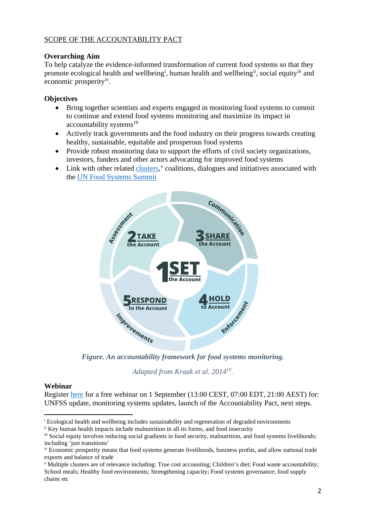## SCOPE OF THE ACCOUNTABILITY PACT

### **Overarching Aim**

To help catalyze the evidence-informed transformation of current food systems so that they promote ecolog[i](#page-1-0)cal health and wellbeing<sup>i</sup>, human health and wellbeing<sup>ii</sup>, social equity<sup>[iii](#page-1-2)</sup> and economic prosperity<sup>[iv](#page-1-3)</sup>.

## **Objectives**

- Bring together scientists and experts engaged in monitoring food systems to commit to continue and extend food systems monitoring and maximize its impact in  $accountability$  systems $19$
- Actively track governments and the food industry on their progress towards creating healthy, sustainable, equitable and prosperous food systems
- Provide robust monitoring data to support the efforts of civil society organizations, investors, funders and other actors advocating for improved food systems
- Link with other related [clusters,](https://foodsystems.community/game-changing-propositions-solution-clusters/) [v](#page-1-4) coalitions, dialogues and initiatives associated with the [UN Food Systems Summit](https://www.un.org/en/food-systems-summit)



*Figure. An accountability framework for food systems monitoring.* 

*Adapted from Kraak et al. 201419.*

## **Webinar**

Register [here](https://www.eventbrite.co.nz/e/the-accountability-pact-webinar-tickets-164297739963) for a free webinar on 1 September (13:00 CEST, 07:00 EDT, 21:00 AEST) for: UNFSS update, monitoring systems updates, launch of the Accountability Pact, next steps.

<span id="page-1-0"></span><sup>&</sup>lt;sup>i</sup> Ecological health and wellbeing includes sustainability and regeneration of degraded environments

<span id="page-1-1"></span>ii Key human health impacts include malnutrition in all its forms, and food insecurity

<span id="page-1-2"></span>iii Social equity involves reducing social gradients in food security, malnutrition, and food systems livelihoods; including 'just transitions'

<span id="page-1-3"></span>iv Economic prosperity means that food systems generate livelihoods, business profits, and allow national trade exports and balance of trade

<span id="page-1-4"></span><sup>v</sup> Multiple clusters are of relevance including: True cost accounting; Children's diet; Food waste accountability; School meals; Healthy food environments; Strengthening capacity; Food systems governance; food supply chains etc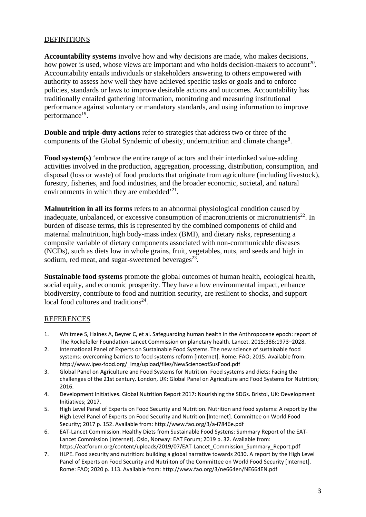#### DEFINITIONS

**Accountability systems** involve how and why decisions are made, who makes decisions, how power is used, whose views are important and who holds decision-makers to account<sup>20</sup>. Accountability entails individuals or stakeholders answering to others empowered with authority to assess how well they have achieved specific tasks or goals and to enforce policies, standards or laws to improve desirable actions and outcomes. Accountability has traditionally entailed gathering information, monitoring and measuring institutional performance against voluntary or mandatory standards, and using information to improve performance<sup>19</sup>.

**Double and triple-duty actions** refer to strategies that address two or three of the components of the Global Syndemic of obesity, undernutrition and climate change<sup>8</sup>.

Food system(s) 'embrace the entire range of actors and their interlinked value-adding activities involved in the production, aggregation, processing, distribution, consumption, and disposal (loss or waste) of food products that originate from agriculture (including livestock), forestry, fisheries, and food industries, and the broader economic, societal, and natural environments in which they are embedded<sup>'21</sup>.

**Malnutrition in all its forms** refers to an abnormal physiological condition caused by inadequate, unbalanced, or excessive consumption of macronutrients or micronutrients<sup>22</sup>. In burden of disease terms, this is represented by the combined components of child and maternal malnutrition, high body-mass index (BMI), and dietary risks, representing a composite variable of dietary components associated with non-communicable diseases (NCDs), such as diets low in whole grains, fruit, vegetables, nuts, and seeds and high in sodium, red meat, and sugar-sweetened beverages $^{23}$ .

**Sustainable food systems** promote the global outcomes of human health, ecological health, social equity, and economic prosperity. They have a low environmental impact, enhance biodiversity, contribute to food and nutrition security, are resilient to shocks, and support local food cultures and traditions<sup>24</sup>.

#### REFERENCES

- 1. Whitmee S, Haines A, Beyrer C, et al. Safeguarding human health in the Anthropocene epoch: report of The Rockefeller Foundation-Lancet Commission on planetary health. Lancet. 2015;386:1973–2028.
- 2. International Panel of Experts on Sustainable Food Systems. The new science of sustainable food systems: overcoming barriers to food systems reform [Internet]. Rome: FAO; 2015. Available from: http://www.ipes-food.org/\_img/upload/files/NewScienceofSusFood.pdf
- 3. Global Panel on Agriculture and Food Systems for Nutrition. Food systems and diets: Facing the challenges of the 21st century. London, UK: Global Panel on Agriculture and Food Systems for Nutrition; 2016.
- 4. Development Initiatives. Global Nutrition Report 2017: Nourishing the SDGs. Bristol, UK: Development Initiatives; 2017.
- 5. High Level Panel of Experts on Food Security and Nutrition. Nutrition and food systems: A report by the High Level Panel of Experts on Food Security and Nutrition [Internet]. Committee on World Food Security; 2017 p. 152. Available from: http://www.fao.org/3/a-i7846e.pdf
- 6. EAT-Lancet Commission. Healthy Diets from Sustainable Food Systens: Summary Report of the EAT-Lancet Commission [Internet]. Oslo, Norway: EAT Forum; 2019 p. 32. Available from: https://eatforum.org/content/uploads/2019/07/EAT-Lancet\_Commission\_Summary\_Report.pdf
- 7. HLPE. Food security and nutrition: building a global narrative towards 2030. A report by the High Level Panel of Experts on Food Security and Nutriiton of the Committee on World Food Security [Internet]. Rome: FAO; 2020 p. 113. Available from: http://www.fao.org/3/ne664en/NE664EN.pdf